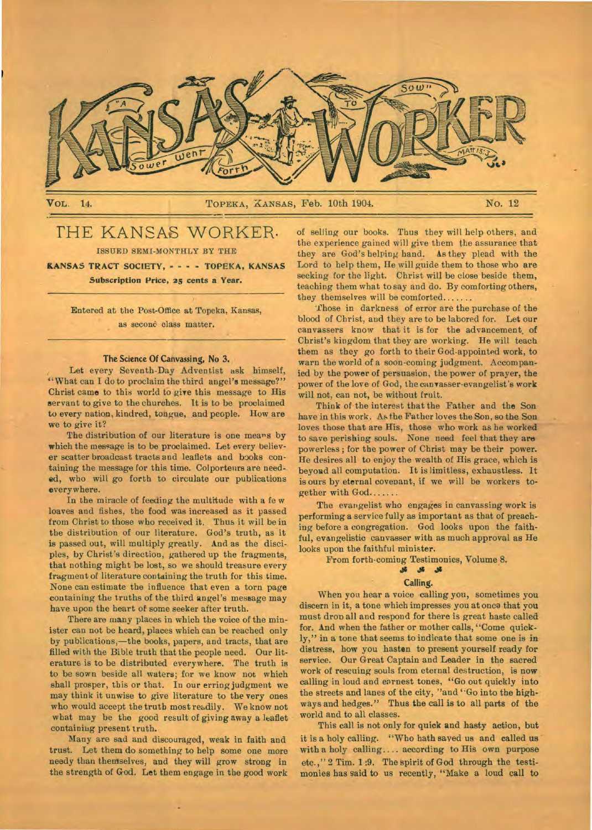

VOL. 14. TOPEKA, KANSAS, Feb. 10th 1904. No. 12

# THE KANSAS WORKER.

ISSUED SEMI-MONTHLY BY THE

**KANSAS TRACT SOCIETY, - - - - TOPEKA, KANSAS Subscription Price, 25 cents a Year.** 

Entered at the Post-Office at Topeka, Kansas, as seconò class matter.

#### The Science Of Canvassing, No 3.

Let every Seventh-Day Adventist ask himself, "What can I do to proclaim the third angel's message?" Christ came to this world to give this message to His servant to give to the churches. It is to be proclaimed to every nation, kindred, tongue, and people. How are we to give it?

The distribution of our literature is one means by which the message is to be proclaimed. Let every believer scatter broadcast tracts and leaflets and books containing the message for this time. Colporteurs are needed, who will go forth to circulate our publications everywhere.

In the miracle of feeding the multitude with a fe w loaves and fishes, the food was increased as it passed from Christ to those who received it. Thus it will be in the distribution of our literature. God's truth, as it is passed out, will multiply greatly. And as the disciples, by Christ's direction, gathered up the fragments, that nothing might be lost, so we should treasure every fragment of literature containing the truth for this time. None can estimate the influence that even a torn page containing the truths of the third angel's message may have upon the heart of some seeker after truth.

There are many places in which the voice of the minister can not be heard, places which can be reached only by publications,—the books, papers, and tracts, that are filled with the Bible truth that the people need. Our literature is to be distributed everywhere. The truth is to be sown beside all waters; for we know not which shall prosper, this or that. In our erring judgment we may think it unwise to give literature to the very ones who would accept the trutb most readily. We know not what may be the good result of giving away a leaflet containiug present truth.

Many are sad and discouraged, weak in faith and trust. Let them do something to help some one more needy than themselves, and they will grow strong in the strength of God. **Let** them engage in the good work of selling our books. Thus they will help others, and the experience gained will give them the assurance that they are God's helping hand. As they plead with the Lord to help them, He will guide them to those who are seeking for the light. Christ will be close beside them, teaching them what to say and do. By comforting others, they themselves will be comforted.......

'those in darkness of error are the purchase of the blood of Christ, and they are to be labored for. Let our canvassers know that it is for the advancement, of Christ's kingdom that they are working. He will teach them as they go forth to their God-appointed work, to warn the world of a soon-coming judgment. Accompanied by the power of persuasion, the power of prayer, the power of the love of God, the canvasser-evangelist's work will not, can not, be without fruit.

Think of the interest that the Father and the Son have in this work. As the Father loves the Son, so the Son loves those that are His, those who work as he worked to save perishing souls. None need feel that they **are**  powerless ; for the power of Christ may be their power. He desires all to enjoy the wealth of His grace, which is beyond all computation. It is limitless, exhaustless. It is ours by eternal covenant, if we will be workers together with God

The evangelist who engages in canvassing work is performing a service fully as important as that of preaching before a congregation. God looks upon the faithful, evangelistic canvasser with as much approval as He looks upon the faithful minister.

From forth-coming Testimonies, Volume 8.

## JI

## Calling.

When you hear a voice calling you, sometimes you discern in it, a tone which impresses you at onca that you must drop all and respond for there is great haste called for. And when the father or mother calls, "Come quickly," in a tone that seems to indicate that some one is in distress, how you hasten to present yourself ready for service. Our Great Captain and Leader in the sacred work of rescuing souls from eternal destruction, is now calling in loud and earnest tones, "Go out quickly into the streets and lanes of the city, "and "Go into the highways and hedges." Thus the call is to all parts of the world and to all classes.

This call is not only for quick and hasty action, but it is a holy calling. "Who hath saved us and called us with a holy calling  $\dots$  according to His own purpose etc.," 2 Tim. 1:9. The spirit of God through the testimonies has said to us recently, "Make a loud call to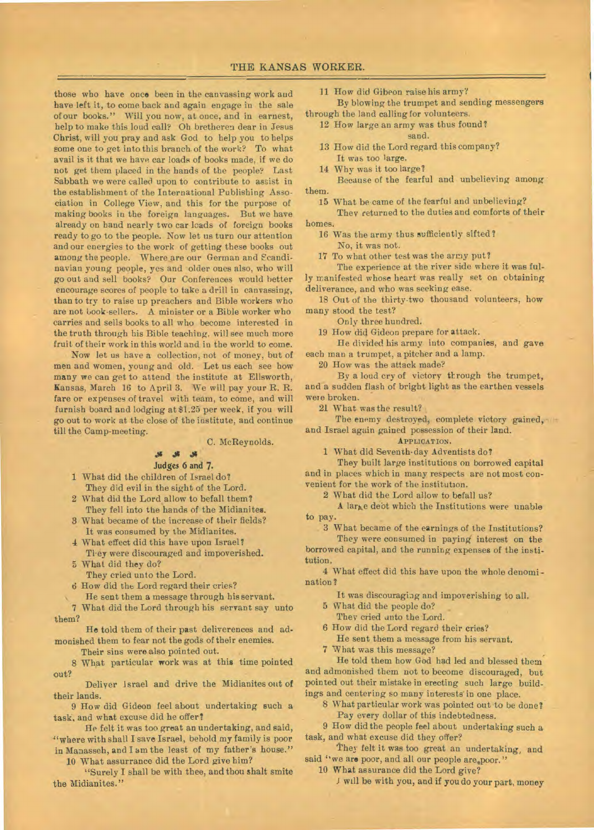those who have once been in the canvassing work and have left it, to come back and again engage in the sale of our books." Will you now, at once, and in earnest, help to make this loud call? Oh bretheren dear in Jesus Christ, will you pray and ask God to help you to helps some one to get into this branch of the work? To what avail is it that we have car loads of books made, if we do not get them placed in the hands of the people? Last Sabbath we were called upon to contribute to assist in the establishment of the International Publishing Association in College View, and this for the purpose of making books in the foreign languages. But we have already on hand nearly two car loads of foreign books ready to go to the people. Now let us turn our attention and our energies to the work of getting these books out among the people. Where are our German and Ecandinavian young people, yes and older ones also, who will go out and sell books? Our Conferences would better encourage scores of people to take a drill in canvassing, than to try to raise up preachers and Bible workers who are not book-sellers. A minister or a Bible worker who carries and sells books to all who become interested in the truth through his Bible teaching, will see much more fruit of their work in this world and in the world to come.

Now let us have a collection, not of money, but of men and women, young and old. Let us each see how many we can get to attend the institute at Ellsworth, Kansas, March 16 to April 3. We will pay your R. R. fare or expenses of travel with team, to come, and will furnish board and lodging at \$1.25 per week, if you will go out to work at the close of the institute, and continue till the Camp-meeting.

C. McReynolds.

## Judges 6 and **7.**

1 What did the children of Israel do? They did evil in the sight of the Lord.

- 2 What did the Lord allow to befall them? They fell into the hands of the Midianites.
- 3 What became of the increase of their fields? It was consumed by the Midianites.
- 4 What effect did this have upon Israel? Tl.ey were discouraged and impoverished.
- 5 What did they do?
- They cried unto the Lord.
- 6 How did the Lord regard their cries?
- He sent them a message through his servant.
- 7 What did the Lord through his servant say unto them?
- **He** told them of their past deliverences and admonished them to fear not the gods of their enemies.
	- Their sins were also pointed out.
- 8 What particular work was at this time pointed out?
- Deliver Israel and drive the Midianites out of their lands.
- 9 How did Gideon feel about undertaking such a task, and what excuse did he offer?
- He felt it was too great an undertaking, and said, "where with shall I save Israel, behold my family is poor in Manasseh, and I am the least of my father's house."

10 What assurrance did the Lord give him?

"Surely I shall be with thee, and thou shalt smite the Midianites."

11 How did Gibeon raise his army?

By blowing the trumpet and sending messengers through the land calling for volunteers.

- 12 How large an army was thus found? sand.
- 13 How did the Lord regard this company? It was too large.
- 14 Why was it too large?

Because of the fearful and unbelieving among them.

- 15 What be came of the fearful and unbelieving?
- They returned to the duties and comforts of their homes.
	- 16 Was the army thus sufficiently sifted?
		- No, it was not.
	- 17 To what other test was the army put?

The experience at the river side where it was fully manifested whose heart was really set on obtaining deliverance, and who was seeking ease.

18 Out of the thirty-two thousand volunteers, how many stood the test?

Only three hundred.

19 How did Gideon prepare for attack.

He divided his army into companies, and gave each man a trumpet, a pitcher and a lamp.

20 How was the attack made?

By a loud cry of victory through the trumpet, and a sudden flash of bright light as the earthen vessels were broken.

21 What was the result?

The enemy destroyed, complete victory gained, and Israel again gained possession of their land.

### APPLICATION.

1 What did Seventh-day Adventists do?

They built large institutions on borrowed capital and in places which in many respects are not most convenient for the work of the institution.

2 What did the Lord allow to befall us?

A large debt which the Institutions were unable to pay.

3 What became of the earnings of the Institutions?

They were consumed in paying interest on the borrowed capital, and the running expenses of the institution.

4 What effect did this have upon the whole denomination ?

It was discouraging and impoverishing to all.

- 5 What did the people do?
	- They cried unto the Lord.
- 6 How did the Lord regard their cries?
	- He sent them a message from his servant.
- What was this message?

He told them how God had led and blessed them and admonished them not to become discouraged, but pointed out their mistake in erecting such large buildings and centering so many interests in one place.

- 8 What particular work was pointed out to be done?
	- Pay every dollar of this indebtedness.

9 How did the people feel about undertaking such a task, and what excuse did they offer?

They felt it was too great an undertaking, and said "we are poor, and all our people are poor."

10 What assurance did the Lord give?

J will be with you, and if you do your part, money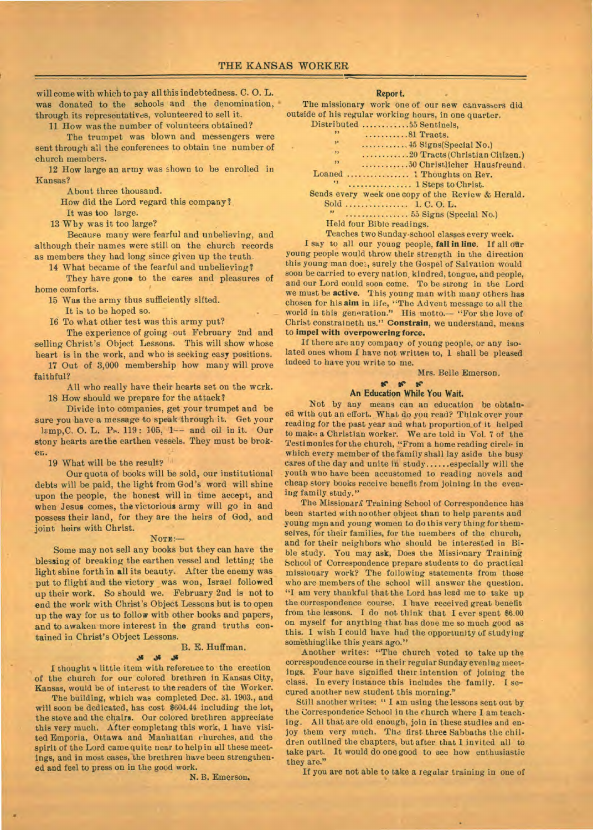will come with which to pay all this indebtedness. C. 0. L. was donated to the schools and the denomination, through its representatives, volunteered to sell it.

11 How was the number of volunteers obtained? The trumpet was blown and messengers were

sent through all the conferences to obtain tne number of church members.

12 How large an army was shown to be enrolled in Kansas?

About three thousand.

How did the Lord regard this company?

It was too large.

13 Why was it too large?

Because many were fearful and unbelieving, and although their names were still on the church records as members they had long since given up the truth.

14 What became of the fearful and unbelieving?

They have gone to the cares and pleasures of home comforts.

15 Was the army thus sufficiently sifted.

It is to be hoped so.

16 To what other test was this army put?

The experience of going out February 2nd and selling Christ's Object Lessons. This will show whose heart is in the work, and who is seeking easy positions.

17 Out of 3,000 membership how many will prove faithful?

All who really have their hearts set on the wcrk. 18 How should we prepare for the attack?

Divide into companies, get your trumpet and be sure you have a message to speak through it. Get your lamp, C. O. L. P., 119: 105, 1-- and oil in it. Our stony hearts are the earthen vessels. They must be brok-

19 What will be the result?

en.

Our quota of books will be sold, our institutional debts will be paid, the light from God's word will shine upon the people, the honest will in time accept, and when Jesus comes, the victorious army will go in and possess their land, for they are the heirs of God, and joint heirs with Christ.

#### NOTE:—

Some may not sell any books but they can have the blessing of breaking the earthen vessel and letting the light shine forth in **all** its beauty. After the enemy was put to flight and the victory was won, Israel followed up their work. So should we. February 2nd is not to end the work with Christ's Object Lessons but is to open up the way for us to follow with other books and papers, and to awaken more interest in the grand truths contained in Christ's Object Lessons.

#### B. E. Huffman.

#### **.Pg**

I thought a little item with reference to the erection of the church for our colored brethren in Kansas City, Kansas, would be of interest to the readers of the Worker.

The building, which was completed Dec. 31. 1903., and will soon be dedicated, has cost \$604.44 including the lot, the stove and the chairs. Our colored brethren appreciate this very much. After completing this work, I have visited Emporia, Ottawa and Manhattan churches, and the spirit of the Lord came quite near to help in all these meetings, and in most cases, the brethren have been strengthen**ed** and feel to press on in the good work.

N. B. Emerson.

#### **Report.**

The missionary work one of our new canvassers did outside of his regular working hours, in one quarter. Distributed

| 5.5                     | 81 Tracts.                                        |  |  |  |  |  |  |  |
|-------------------------|---------------------------------------------------|--|--|--|--|--|--|--|
| 57                      |                                                   |  |  |  |  |  |  |  |
| $\overline{\mathbf{v}}$ | 20 Tracts (Christian Citizen.)                    |  |  |  |  |  |  |  |
| "                       | 50 Christlicher Hausfreund.                       |  |  |  |  |  |  |  |
|                         | Loaned  1 Thoughts on Rev.                        |  |  |  |  |  |  |  |
|                         | "  1 Steps to Christ.                             |  |  |  |  |  |  |  |
|                         | Sends every week one copy of the Review & Herald. |  |  |  |  |  |  |  |

Sold ................. 1. C. O. L. **IP** 

**1953** Signs (Special No.)

Held four Bible readings.

Teaches two Sunday-school classes every week.

I say to all our young people, fall in line. If all our young people would throw their strength in the direction this young man doe:, surely the Gospel of Salvation would soon be carried to every nation, kindred, tongue, and people, and our Lord could soon come. To be strong in the Lord we must be **active.** This young man with many others has chosen for his *aim* in life, "The Advent message to all the world in this generation." His motto.— "For the love of Christ constraineth us." **Constrain,** we understand, means to **impel with overpowering force.** 

If there are any company of young people, or any isolated ones whom I have not written to, 1 shall be pleased indeed to have you write to me.

Mrs. Belle Emerson.

### $\mathscr{C}$

### **An Education While You Wait.**

Not by any means can an education be obtained with out an effort. What do you read? Think over your reading for the past year and what proportion of it helped to make a Christian worker. We are told in Vol. **7** of the Testimonies for the church, "From a home reading circle in which every member of the family shall lay aside the busy cares of the day and unite in study......especially will the youth who have been accustomed to reading novels and cheap story books receive benefit from joining in the evening family study."

The Missionard Training School of Correspondence has been started with no other object than to help parents and young men and young women to do this very thing for themselves, for their families, for the members of the church, and for their neighbors who should be interested in Bible study. You may ask, Does the Missionary Training School of Correspondence prepare students to do practical missionary work? The following statements from those who are members of the school will answer the question. "I am very thankful that the Lord has lead me to take up the correspondence course. I have received great benefit from the lessons. I do not think that I ever spent \$6.00 on myself for anything that has done me so much good as this. 1 wish I could have had the opportunity of studying somethinglike this years ago."

Another writes: "The church voted to take up the correspondence course in their regular Sunday evening meetings. Four have signified their intention of joining the class. In every instance this includes the family. I secured another new student this morning."

Still another writes: " I am using the lessons sent out by the Correspondence School in the church where I am teaching. All that are old enough, join in these studies and enjoy them very much. The first three Sabbaths the children outlined the chapters, but after that 1 invited all to take part. It would do one good to see how enthusiastic they are."

If you are not able to take a regalar training in one of